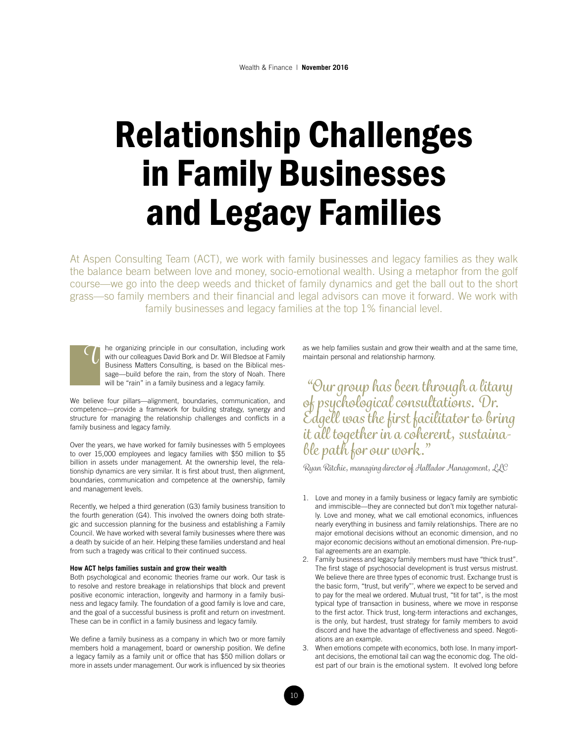# Relationship Challenges in Family Businesses and Legacy Families

At Aspen Consulting Team (ACT), we work with family businesses and legacy families as they walk the balance beam between love and money, socio-emotional wealth. Using a metaphor from the golf course—we go into the deep weeds and thicket of family dynamics and get the ball out to the short grass—so family members and their financial and legal advisors can move it forward. We work with family businesses and legacy families at the top 1% financial level.



We believe four pillars—alignment, boundaries, communication, and competence—provide a framework for building strategy, synergy and structure for managing the relationship challenges and conflicts in a family business and legacy family.

Over the years, we have worked for family businesses with 5 employees to over 15,000 employees and legacy families with \$50 million to \$5 billion in assets under management. At the ownership level, the relationship dynamics are very similar. It is first about trust, then alignment, boundaries, communication and competence at the ownership, family and management levels.

Recently, we helped a third generation (G3) family business transition to the fourth generation (G4). This involved the owners doing both strategic and succession planning for the business and establishing a Family Council. We have worked with several family businesses where there was a death by suicide of an heir. Helping these families understand and heal from such a tragedy was critical to their continued success.

#### **How ACT helps families sustain and grow their wealth**

Both psychological and economic theories frame our work. Our task is to resolve and restore breakage in relationships that block and prevent positive economic interaction, longevity and harmony in a family business and legacy family. The foundation of a good family is love and care, and the goal of a successful business is profit and return on investment. These can be in conflict in a family business and legacy family.

We define a family business as a company in which two or more family members hold a management, board or ownership position. We define a legacy family as a family unit or office that has \$50 million dollars or more in assets under management. Our work is influenced by six theories as we help families sustain and grow their wealth and at the same time, maintain personal and relationship harmony.

 *"Our group has been through a litany of psychological consultations. Dr. Edgell was the first facilitator to bring it all together in a coherent, sustainable path for our work."*

*Ryan Ritchie, managing director of Hallador Management, LLC*

- 1. Love and money in a family business or legacy family are symbiotic and immiscible—they are connected but don't mix together naturally. Love and money, what we call emotional economics, influences nearly everything in business and family relationships. There are no major emotional decisions without an economic dimension, and no major economic decisions without an emotional dimension. Pre-nuptial agreements are an example.
- 2. Family business and legacy family members must have "thick trust". The first stage of psychosocial development is trust versus mistrust. We believe there are three types of economic trust. Exchange trust is the basic form, "trust, but verify"', where we expect to be served and to pay for the meal we ordered. Mutual trust, "tit for tat", is the most typical type of transaction in business, where we move in response to the first actor. Thick trust, long-term interactions and exchanges, is the only, but hardest, trust strategy for family members to avoid discord and have the advantage of effectiveness and speed. Negotiations are an example.
- 3. When emotions compete with economics, both lose. In many important decisions, the emotional tail can wag the economic dog. The oldest part of our brain is the emotional system. It evolved long before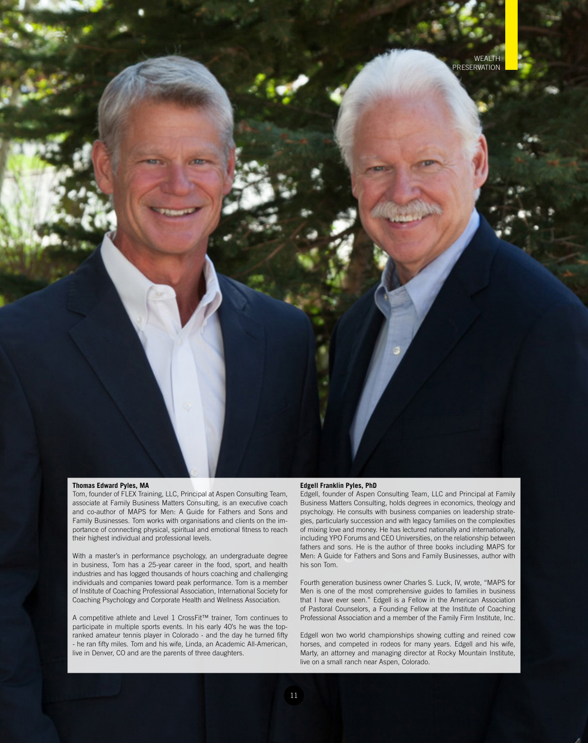#### **Thomas Edward Pyles, MA**

Tom, founder of FLEX Training, LLC, Principal at Aspen Consulting Team, associate at Family Business Matters Consulting, is an executive coach and co-author of MAPS for Men: A Guide for Fathers and Sons and Family Businesses. Tom works with organisations and clients on the importance of connecting physical, spiritual and emotional fitness to reach their highest individual and professional levels.

With a master's in performance psychology, an undergraduate degree in business, Tom has a 25-year career in the food, sport, and health industries and has logged thousands of hours coaching and challenging individuals and companies toward peak performance. Tom is a member of Institute of Coaching Professional Association, International Society for Coaching Psychology and Corporate Health and Wellness Association.

A competitive athlete and Level 1 CrossFit™ trainer, Tom continues to participate in multiple sports events. In his early 40's he was the topranked amateur tennis player in Colorado - and the day he turned fifty - he ran fifty miles. Tom and his wife, Linda, an Academic All-American, live in Denver, CO and are the parents of three daughters.

#### **Edgell Franklin Pyles, PhD**

Edgell, founder of Aspen Consulting Team, LLC and Principal at Family Business Matters Consulting, holds degrees in economics, theology and psychology. He consults with business companies on leadership strategies, particularly succession and with legacy families on the complexities of mixing love and money. He has lectured nationally and internationally, including YPO Forums and CEO Universities, on the relationship between fathers and sons. He is the author of three books including MAPS for Men: A Guide for Fathers and Sons and Family Businesses, author with his son Tom.

Fourth generation business owner Charles S. Luck, IV, wrote, "MAPS for Men is one of the most comprehensive guides to families in business that I have ever seen." Edgell is a Fellow in the American Association of Pastoral Counselors, a Founding Fellow at the Institute of Coaching Professional Association and a member of the Family Firm Institute, Inc.

Edgell won two world championships showing cutting and reined cow horses, and competed in rodeos for many years. Edgell and his wife, Marty, an attorney and managing director at Rocky Mountain Institute, live on a small ranch near Aspen, Colorado.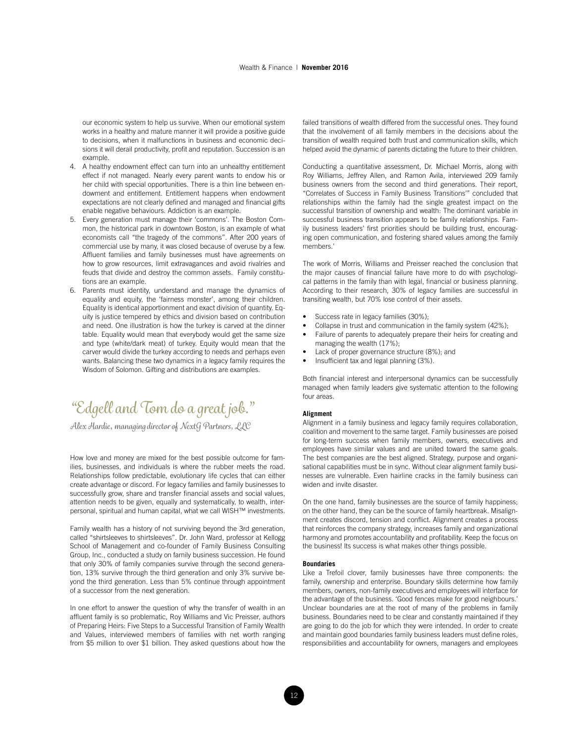#### Wealth & Finance | **November 2016**

our economic system to help us survive. When our emotional system works in a healthy and mature manner it will provide a positive guide to decisions, when it malfunctions in business and economic decisions it will derail productivity, profit and reputation. Succession is an example.

- 4. A healthy endowment effect can turn into an unhealthy entitlement effect if not managed. Nearly every parent wants to endow his or her child with special opportunities. There is a thin line between endowment and entitlement. Entitlement happens when endowment expectations are not clearly defined and managed and financial gifts enable negative behaviours. Addiction is an example.
- 5. Every generation must manage their 'commons'. The Boston Common, the historical park in downtown Boston, is an example of what economists call "the tragedy of the commons". After 200 years of commercial use by many, it was closed because of overuse by a few. Affluent families and family businesses must have agreements on how to grow resources, limit extravagances and avoid rivalries and feuds that divide and destroy the common assets. Family constitutions are an example.
- 6. Parents must identity, understand and manage the dynamics of equality and equity, the 'fairness monster', among their children. Equality is identical apportionment and exact division of quantity. Equity is justice tempered by ethics and division based on contribution and need. One illustration is how the turkey is carved at the dinner table. Equality would mean that everybody would get the same size and type (white/dark meat) of turkey. Equity would mean that the carver would divide the turkey according to needs and perhaps even wants. Balancing these two dynamics in a legacy family requires the Wisdom of Solomon. Gifting and distributions are examples.

## *"Edgell and Tom do a great job."*

*Alex Hardie, managing director of NextG Partners, LLC*

How love and money are mixed for the best possible outcome for families, businesses, and individuals is where the rubber meets the road. Relationships follow predictable, evolutionary life cycles that can either create advantage or discord. For legacy families and family businesses to successfully grow, share and transfer financial assets and social values, attention needs to be given, equally and systematically, to wealth, interpersonal, spiritual and human capital, what we call WISH™ investments.

Family wealth has a history of not surviving beyond the 3rd generation, called "shirtsleeves to shirtsleeves". Dr. John Ward, professor at Kellogg School of Management and co-founder of Family Business Consulting Group, Inc., conducted a study on family business succession. He found that only 30% of family companies survive through the second generation, 13% survive through the third generation and only 3% survive beyond the third generation. Less than 5% continue through appointment of a successor from the next generation.

In one effort to answer the question of why the transfer of wealth in an affluent family is so problematic, Roy Williams and Vic Preisser, authors of Preparing Heirs: Five Steps to a Successful Transition of Family Wealth and Values, interviewed members of families with net worth ranging from \$5 million to over \$1 billion. They asked questions about how the

failed transitions of wealth differed from the successful ones. They found that the involvement of all family members in the decisions about the transition of wealth required both trust and communication skills, which helped avoid the dynamic of parents dictating the future to their children.

Conducting a quantitative assessment, Dr. Michael Morris, along with Roy Williams, Jeffrey Allen, and Ramon Avila, interviewed 209 family business owners from the second and third generations. Their report, "Correlates of Success in Family Business Transitions'" concluded that relationships within the family had the single greatest impact on the successful transition of ownership and wealth: The dominant variable in successful business transition appears to be family relationships. Family business leaders' first priorities should be building trust, encouraging open communication, and fostering shared values among the family members.'

The work of Morris, Williams and Preisser reached the conclusion that the major causes of financial failure have more to do with psychological patterns in the family than with legal, financial or business planning. According to their research, 30% of legacy families are successful in transiting wealth, but 70% lose control of their assets.

- Success rate in legacy families (30%);
- Collapse in trust and communication in the family system (42%);
- Failure of parents to adequately prepare their heirs for creating and managing the wealth (17%);
- Lack of proper governance structure (8%); and
- Insufficient tax and legal planning (3%).

Both financial interest and interpersonal dynamics can be successfully managed when family leaders give systematic attention to the following four areas.

#### **Alignment**

Alignment in a family business and legacy family requires collaboration, coalition and movement to the same target. Family businesses are poised for long-term success when family members, owners, executives and employees have similar values and are united toward the same goals. The best companies are the best aligned. Strategy, purpose and organisational capabilities must be in sync. Without clear alignment family businesses are vulnerable. Even hairline cracks in the family business can widen and invite disaster.

On the one hand, family businesses are the source of family happiness; on the other hand, they can be the source of family heartbreak. Misalignment creates discord, tension and conflict. Alignment creates a process that reinforces the company strategy, increases family and organizational harmony and promotes accountability and profitability. Keep the focus on the business! Its success is what makes other things possible.

#### **Boundaries**

Like a Trefoil clover, family businesses have three components: the family, ownership and enterprise. Boundary skills determine how family members, owners, non-family executives and employees will interface for the advantage of the business. 'Good fences make for good neighbours.' Unclear boundaries are at the root of many of the problems in family business. Boundaries need to be clear and constantly maintained if they are going to do the job for which they were intended. In order to create and maintain good boundaries family business leaders must define roles, responsibilities and accountability for owners, managers and employees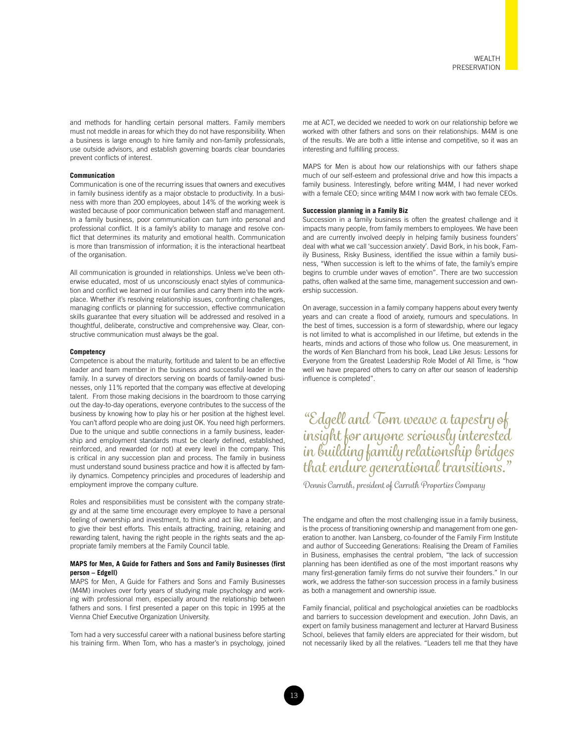and methods for handling certain personal matters. Family members must not meddle in areas for which they do not have responsibility. When a business is large enough to hire family and non-family professionals, use outside advisors, and establish governing boards clear boundaries prevent conflicts of interest.

#### **Communication**

Communication is one of the recurring issues that owners and executives in family business identify as a major obstacle to productivity. In a business with more than 200 employees, about 14% of the working week is wasted because of poor communication between staff and management. In a family business, poor communication can turn into personal and professional conflict. It is a family's ability to manage and resolve conflict that determines its maturity and emotional health. Communication is more than transmission of information; it is the interactional heartbeat of the organisation.

All communication is grounded in relationships. Unless we've been otherwise educated, most of us unconsciously enact styles of communication and conflict we learned in our families and carry them into the workplace. Whether it's resolving relationship issues, confronting challenges, managing conflicts or planning for succession, effective communication skills guarantee that every situation will be addressed and resolved in a thoughtful, deliberate, constructive and comprehensive way. Clear, constructive communication must always be the goal.

#### **Competency**

Competence is about the maturity, fortitude and talent to be an effective leader and team member in the business and successful leader in the family. In a survey of directors serving on boards of family-owned businesses, only 11% reported that the company was effective at developing talent. From those making decisions in the boardroom to those carrying out the day-to-day operations, everyone contributes to the success of the business by knowing how to play his or her position at the highest level. You can't afford people who are doing just OK. You need high performers. Due to the unique and subtle connections in a family business, leadership and employment standards must be clearly defined, established, reinforced, and rewarded (or not) at every level in the company. This is critical in any succession plan and process. The family in business must understand sound business practice and how it is affected by family dynamics. Competency principles and procedures of leadership and employment improve the company culture.

Roles and responsibilities must be consistent with the company strategy and at the same time encourage every employee to have a personal feeling of ownership and investment, to think and act like a leader, and to give their best efforts. This entails attracting, training, retaining and rewarding talent, having the right people in the rights seats and the appropriate family members at the Family Council table.

#### **MAPS for Men, A Guide for Fathers and Sons and Family Businesses (first person – Edgell)**

MAPS for Men, A Guide for Fathers and Sons and Family Businesses (M4M) involves over forty years of studying male psychology and working with professional men, especially around the relationship between fathers and sons. I first presented a paper on this topic in 1995 at the Vienna Chief Executive Organization University.

Tom had a very successful career with a national business before starting his training firm. When Tom, who has a master's in psychology, joined me at ACT, we decided we needed to work on our relationship before we worked with other fathers and sons on their relationships. M4M is one of the results. We are both a little intense and competitive, so it was an interesting and fulfilling process.

MAPS for Men is about how our relationships with our fathers shape much of our self-esteem and professional drive and how this impacts a family business. Interestingly, before writing M4M, I had never worked with a female CEO; since writing M4M I now work with two female CEOs.

#### **Succession planning in a Family Biz**

Succession in a family business is often the greatest challenge and it impacts many people, from family members to employees. We have been and are currently involved deeply in helping family business founders' deal with what we call 'succession anxiety'. David Bork, in his book, Family Business, Risky Business, identified the issue within a family business, "When succession is left to the whims of fate, the family's empire begins to crumble under waves of emotion". There are two succession paths, often walked at the same time, management succession and ownership succession.

On average, succession in a family company happens about every twenty years and can create a flood of anxiety, rumours and speculations. In the best of times, succession is a form of stewardship, where our legacy is not limited to what is accomplished in our lifetime, but extends in the hearts, minds and actions of those who follow us. One measurement, in the words of Ken Blanchard from his book, Lead Like Jesus: Lessons for Everyone from the Greatest Leadership Role Model of All Time, is "how well we have prepared others to carry on after our season of leadership influence is completed".

*"Edgell and Tom weave a tapestry of insight for anyone seriously interested in building family relationship bridges that endure generational transitions."* 

*Dennis Carruth, president of Carruth Properties Company*

The endgame and often the most challenging issue in a family business, is the process of transitioning ownership and management from one generation to another. Ivan Lansberg, co-founder of the Family Firm Institute and author of Succeeding Generations: Realising the Dream of Families in Business, emphasises the central problem, "the lack of succession planning has been identified as one of the most important reasons why many first-generation family firms do not survive their founders." In our work, we address the father-son succession process in a family business as both a management and ownership issue.

Family financial, political and psychological anxieties can be roadblocks and barriers to succession development and execution. John Davis, an expert on family business management and lecturer at Harvard Business School, believes that family elders are appreciated for their wisdom, but not necessarily liked by all the relatives. "Leaders tell me that they have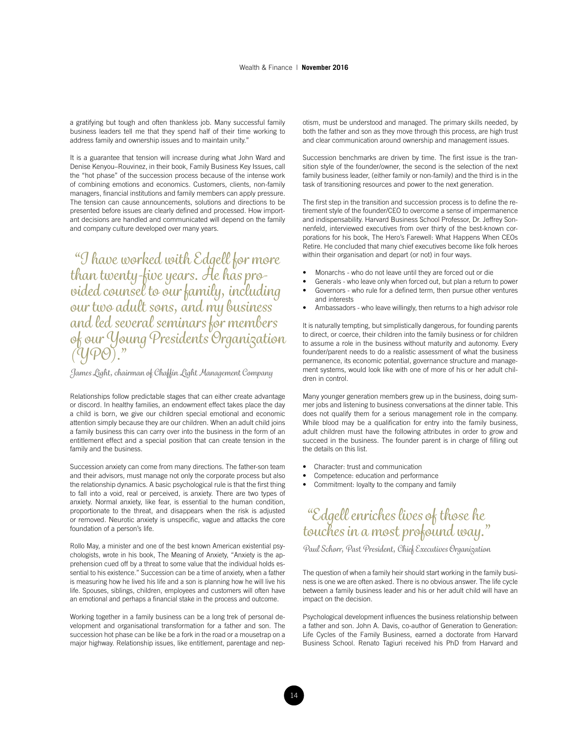a gratifying but tough and often thankless job. Many successful family business leaders tell me that they spend half of their time working to address family and ownership issues and to maintain unity."

It is a guarantee that tension will increase during what John Ward and Denise Kenyou–Rouvinez, in their book, Family Business Key Issues, call the "hot phase" of the succession process because of the intense work of combining emotions and economics. Customers, clients, non-family managers, financial institutions and family members can apply pressure. The tension can cause announcements, solutions and directions to be presented before issues are clearly defined and processed. How important decisions are handled and communicated will depend on the family and company culture developed over many years.

 *"I have worked with Edgell for more than twenty-five years. He has provided counsel to our family, including our two adult sons, and my business and led several seminars for members of our Young Presidents Organization (YPO)."*

*James Light, chairman of Chaffin Light Management Company*

Relationships follow predictable stages that can either create advantage or discord. In healthy families, an endowment effect takes place the day a child is born, we give our children special emotional and economic attention simply because they are our children. When an adult child joins a family business this can carry over into the business in the form of an entitlement effect and a special position that can create tension in the family and the business.

Succession anxiety can come from many directions. The father-son team and their advisors, must manage not only the corporate process but also the relationship dynamics. A basic psychological rule is that the first thing to fall into a void, real or perceived, is anxiety. There are two types of anxiety. Normal anxiety, like fear, is essential to the human condition, proportionate to the threat, and disappears when the risk is adjusted or removed. Neurotic anxiety is unspecific, vague and attacks the core foundation of a person's life.

Rollo May, a minister and one of the best known American existential psychologists, wrote in his book, The Meaning of Anxiety, "Anxiety is the apprehension cued off by a threat to some value that the individual holds essential to his existence." Succession can be a time of anxiety, when a father is measuring how he lived his life and a son is planning how he will live his life. Spouses, siblings, children, employees and customers will often have an emotional and perhaps a financial stake in the process and outcome.

Working together in a family business can be a long trek of personal development and organisational transformation for a father and son. The succession hot phase can be like be a fork in the road or a mousetrap on a major highway. Relationship issues, like entitlement, parentage and nep-

otism, must be understood and managed. The primary skills needed, by both the father and son as they move through this process, are high trust and clear communication around ownership and management issues.

Succession benchmarks are driven by time. The first issue is the transition style of the founder/owner, the second is the selection of the next family business leader, (either family or non-family) and the third is in the task of transitioning resources and power to the next generation.

The first step in the transition and succession process is to define the retirement style of the founder/CEO to overcome a sense of impermanence and indispensability. Harvard Business School Professor, Dr. Jeffrey Sonnenfeld, interviewed executives from over thirty of the best-known corporations for his book, The Hero's Farewell: What Happens When CEOs Retire. He concluded that many chief executives become like folk heroes within their organisation and depart (or not) in four ways.

- Monarchs who do not leave until they are forced out or die
- Generals who leave only when forced out, but plan a return to power
- Governors who rule for a defined term, then pursue other ventures and interests
- Ambassadors who leave willingly, then returns to a high advisor role

It is naturally tempting, but simplistically dangerous, for founding parents to direct, or coerce, their children into the family business or for children to assume a role in the business without maturity and autonomy. Every founder/parent needs to do a realistic assessment of what the business permanence, its economic potential, governance structure and management systems, would look like with one of more of his or her adult children in control.

Many younger generation members grew up in the business, doing summer jobs and listening to business conversations at the dinner table. This does not qualify them for a serious management role in the company. While blood may be a qualification for entry into the family business, adult children must have the following attributes in order to grow and succeed in the business. The founder parent is in charge of filling out the details on this list.

- Character: trust and communication
- Competence: education and performance
- Commitment: loyalty to the company and family

### *"Edgell enriches lives of those he touches in a most profound way."*

*Paul Schorr, Past President, Chief Executives Organization* 

The question of when a family heir should start working in the family business is one we are often asked. There is no obvious answer. The life cycle between a family business leader and his or her adult child will have an impact on the decision.

Psychological development influences the business relationship between a father and son. John A. Davis, co-author of Generation to Generation: Life Cycles of the Family Business, earned a doctorate from Harvard Business School. Renato Tagiuri received his PhD from Harvard and